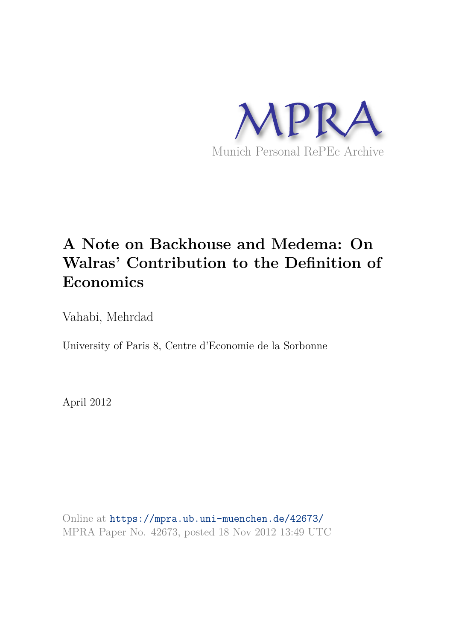

# **A Note on Backhouse and Medema: On Walras' Contribution to the Definition of Economics**

Vahabi, Mehrdad

University of Paris 8, Centre d'Economie de la Sorbonne

April 2012

Online at https://mpra.ub.uni-muenchen.de/42673/ MPRA Paper No. 42673, posted 18 Nov 2012 13:49 UTC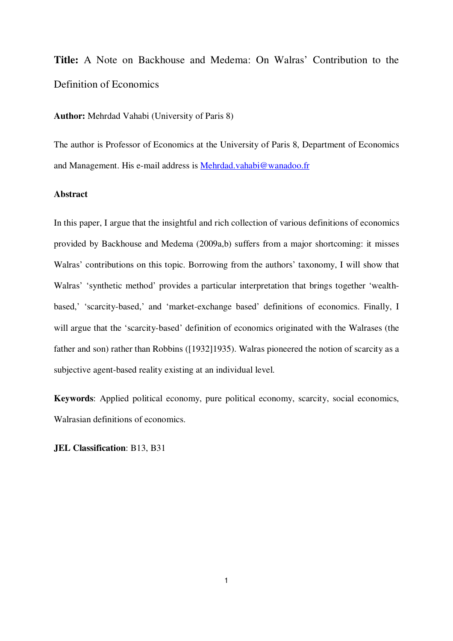**Title:** A Note on Backhouse and Medema: On Walras' Contribution to the Definition of Economics

**Author:** Mehrdad Vahabi (University of Paris 8)

The author is Professor of Economics at the University of Paris 8, Department of Economics and Management. His e-mail address is Mehrdad.vahabi@wanadoo.fr

### **Abstract**

In this paper, I argue that the insightful and rich collection of various definitions of economics provided by Backhouse and Medema (2009a,b) suffers from a major shortcoming: it misses Walras' contributions on this topic. Borrowing from the authors' taxonomy, I will show that Walras' 'synthetic method' provides a particular interpretation that brings together 'wealthbased,' 'scarcity-based,' and 'market-exchange based' definitions of economics. Finally, I will argue that the 'scarcity-based' definition of economics originated with the Walrases (the father and son) rather than Robbins ([1932]1935). Walras pioneered the notion of scarcity as a subjective agent-based reality existing at an individual level.

**Keywords**: Applied political economy, pure political economy, scarcity, social economics, Walrasian definitions of economics.

**JEL Classification**: B13, B31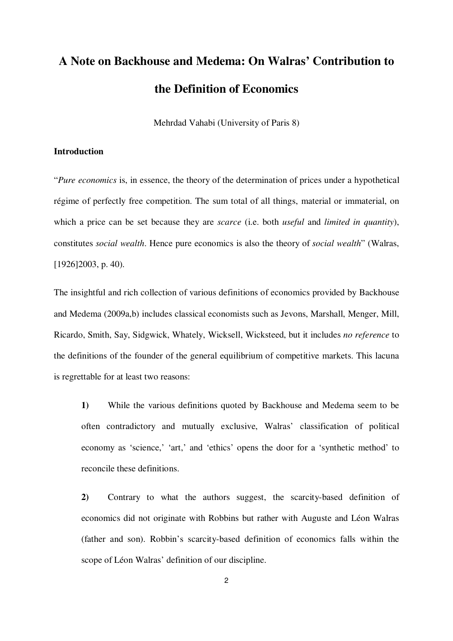# **A Note on Backhouse and Medema: On Walras' Contribution to the Definition of Economics**

Mehrdad Vahabi (University of Paris 8)

### **Introduction**

"*Pure economics* is, in essence, the theory of the determination of prices under a hypothetical régime of perfectly free competition. The sum total of all things, material or immaterial, on which a price can be set because they are *scarce* (i.e. both *useful* and *limited in quantity*), constitutes *social wealth*. Hence pure economics is also the theory of *social wealth*" (Walras, [1926]2003, p. 40).

The insightful and rich collection of various definitions of economics provided by Backhouse and Medema (2009a,b) includes classical economists such as Jevons, Marshall, Menger, Mill, Ricardo, Smith, Say, Sidgwick, Whately, Wicksell, Wicksteed, but it includes *no reference* to the definitions of the founder of the general equilibrium of competitive markets. This lacuna is regrettable for at least two reasons:

**1)** While the various definitions quoted by Backhouse and Medema seem to be often contradictory and mutually exclusive, Walras' classification of political economy as 'science,' 'art,' and 'ethics' opens the door for a 'synthetic method' to reconcile these definitions.

**2)** Contrary to what the authors suggest, the scarcity-based definition of economics did not originate with Robbins but rather with Auguste and Léon Walras (father and son). Robbin's scarcity-based definition of economics falls within the scope of Léon Walras' definition of our discipline.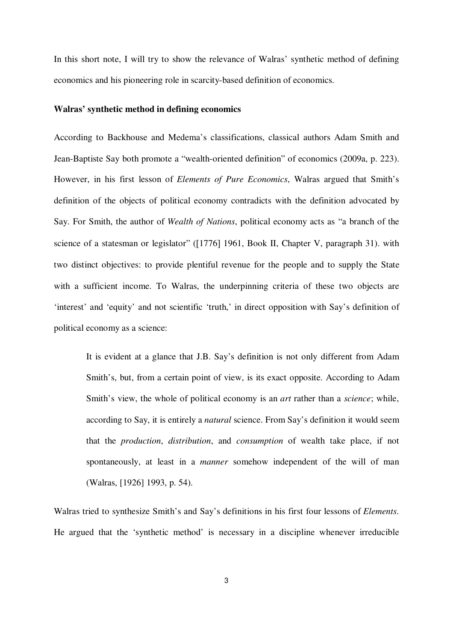In this short note, I will try to show the relevance of Walras' synthetic method of defining economics and his pioneering role in scarcity-based definition of economics.

#### **Walras' synthetic method in defining economics**

According to Backhouse and Medema's classifications, classical authors Adam Smith and Jean-Baptiste Say both promote a "wealth-oriented definition" of economics (2009a, p. 223). However, in his first lesson of *Elements of Pure Economics*, Walras argued that Smith's definition of the objects of political economy contradicts with the definition advocated by Say. For Smith, the author of *Wealth of Nations*, political economy acts as "a branch of the science of a statesman or legislator" ([1776] 1961, Book II, Chapter V, paragraph 31). with two distinct objectives: to provide plentiful revenue for the people and to supply the State with a sufficient income. To Walras, the underpinning criteria of these two objects are 'interest' and 'equity' and not scientific 'truth,' in direct opposition with Say's definition of political economy as a science:

It is evident at a glance that J.B. Say's definition is not only different from Adam Smith's, but, from a certain point of view, is its exact opposite. According to Adam Smith's view, the whole of political economy is an *art* rather than a *science*; while, according to Say, it is entirely a *natural* science. From Say's definition it would seem that the *production*, *distribution*, and *consumption* of wealth take place, if not spontaneously, at least in a *manner* somehow independent of the will of man (Walras, [1926] 1993, p. 54).

Walras tried to synthesize Smith's and Say's definitions in his first four lessons of *Elements*. He argued that the 'synthetic method' is necessary in a discipline whenever irreducible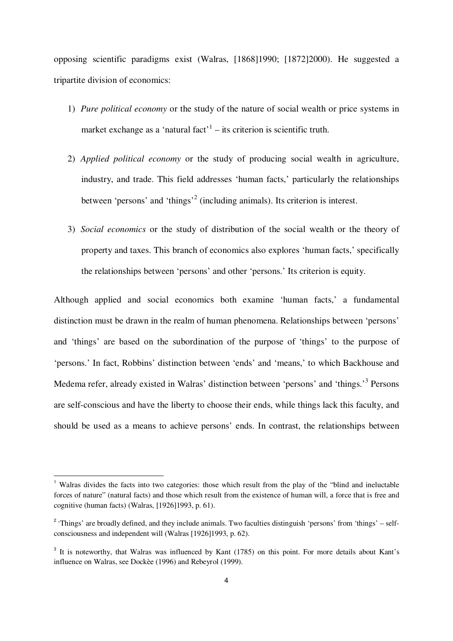opposing scientific paradigms exist (Walras, [1868]1990; [1872]2000). He suggested a tripartite division of economics:

- 1) *Pure political economy* or the study of the nature of social wealth or price systems in market exchange as a 'natural fact'<sup>1</sup> – its criterion is scientific truth.
- 2) *Applied political economy* or the study of producing social wealth in agriculture, industry, and trade. This field addresses 'human facts,' particularly the relationships between 'persons' and 'things'<sup>2</sup> (including animals). Its criterion is interest.
- 3) *Social economics* or the study of distribution of the social wealth or the theory of property and taxes. This branch of economics also explores 'human facts,' specifically the relationships between 'persons' and other 'persons.' Its criterion is equity.

Although applied and social economics both examine 'human facts,' a fundamental distinction must be drawn in the realm of human phenomena. Relationships between 'persons' and 'things' are based on the subordination of the purpose of 'things' to the purpose of 'persons.' In fact, Robbins' distinction between 'ends' and 'means,' to which Backhouse and Medema refer, already existed in Walras' distinction between 'persons' and 'things.'<sup>3</sup> Persons are self-conscious and have the liberty to choose their ends, while things lack this faculty, and should be used as a means to achieve persons' ends. In contrast, the relationships between

 $\overline{a}$ 

<sup>&</sup>lt;sup>1</sup> Walras divides the facts into two categories: those which result from the play of the "blind and ineluctable" forces of nature" (natural facts) and those which result from the existence of human will, a force that is free and cognitive (human facts) (Walras, [1926]1993, p. 61).

<sup>&</sup>lt;sup>2</sup> 'Things' are broadly defined, and they include animals. Two faculties distinguish 'persons' from 'things' – selfconsciousness and independent will (Walras [1926]1993, p. 62).

<sup>&</sup>lt;sup>3</sup> It is noteworthy, that Walras was influenced by Kant (1785) on this point. For more details about Kant's influence on Walras, see Dockèe (1996) and Rebeyrol (1999).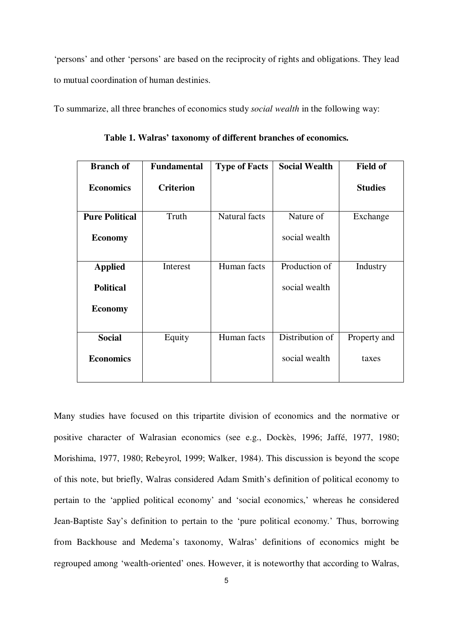'persons' and other 'persons' are based on the reciprocity of rights and obligations. They lead to mutual coordination of human destinies.

To summarize, all three branches of economics study *social wealth* in the following way:

| <b>Branch of</b>      | <b>Fundamental</b> | <b>Type of Facts</b> | <b>Social Wealth</b> | <b>Field of</b> |
|-----------------------|--------------------|----------------------|----------------------|-----------------|
| <b>Economics</b>      | <b>Criterion</b>   |                      |                      | <b>Studies</b>  |
| <b>Pure Political</b> | Truth              | Natural facts        | Nature of            | Exchange        |
| <b>Economy</b>        |                    |                      | social wealth        |                 |
| <b>Applied</b>        | Interest           | Human facts          | Production of        | Industry        |
| <b>Political</b>      |                    |                      | social wealth        |                 |
| <b>Economy</b>        |                    |                      |                      |                 |
| <b>Social</b>         | Equity             | Human facts          | Distribution of      | Property and    |
| <b>Economics</b>      |                    |                      | social wealth        | taxes           |

**Table 1. Walras' taxonomy of different branches of economics.** 

Many studies have focused on this tripartite division of economics and the normative or positive character of Walrasian economics (see e.g., Dockès, 1996; Jaffé, 1977, 1980; Morishima, 1977, 1980; Rebeyrol, 1999; Walker, 1984). This discussion is beyond the scope of this note, but briefly, Walras considered Adam Smith's definition of political economy to pertain to the 'applied political economy' and 'social economics,' whereas he considered Jean-Baptiste Say's definition to pertain to the 'pure political economy.' Thus, borrowing from Backhouse and Medema's taxonomy, Walras' definitions of economics might be regrouped among 'wealth-oriented' ones. However, it is noteworthy that according to Walras,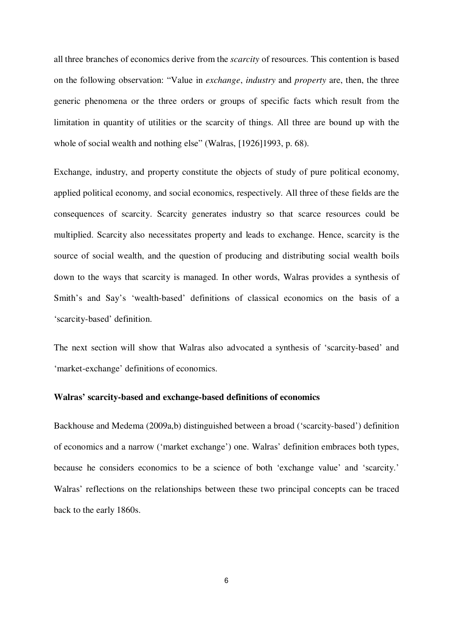all three branches of economics derive from the *scarcity* of resources. This contention is based on the following observation: "Value in *exchange*, *industry* and *property* are, then, the three generic phenomena or the three orders or groups of specific facts which result from the limitation in quantity of utilities or the scarcity of things. All three are bound up with the whole of social wealth and nothing else" (Walras, [1926]1993, p. 68).

Exchange, industry, and property constitute the objects of study of pure political economy, applied political economy, and social economics, respectively. All three of these fields are the consequences of scarcity. Scarcity generates industry so that scarce resources could be multiplied. Scarcity also necessitates property and leads to exchange. Hence, scarcity is the source of social wealth, and the question of producing and distributing social wealth boils down to the ways that scarcity is managed. In other words, Walras provides a synthesis of Smith's and Say's 'wealth-based' definitions of classical economics on the basis of a 'scarcity-based' definition.

The next section will show that Walras also advocated a synthesis of 'scarcity-based' and 'market-exchange' definitions of economics.

### **Walras' scarcity-based and exchange-based definitions of economics**

Backhouse and Medema (2009a,b) distinguished between a broad ('scarcity-based') definition of economics and a narrow ('market exchange') one. Walras' definition embraces both types, because he considers economics to be a science of both 'exchange value' and 'scarcity.' Walras' reflections on the relationships between these two principal concepts can be traced back to the early 1860s.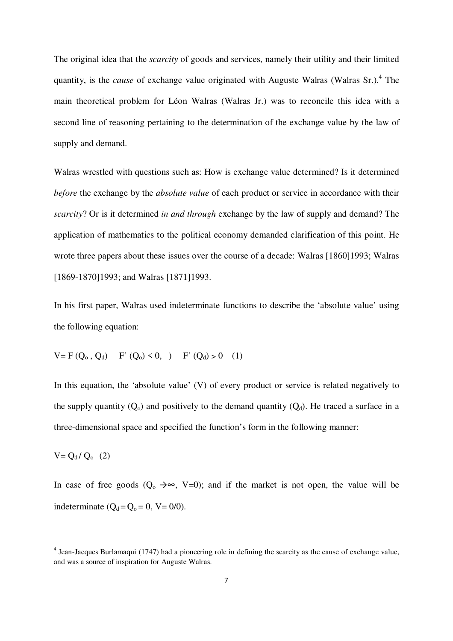The original idea that the *scarcity* of goods and services, namely their utility and their limited quantity, is the *cause* of exchange value originated with Auguste Walras (Walras Sr.).<sup>4</sup> The main theoretical problem for Léon Walras (Walras Jr.) was to reconcile this idea with a second line of reasoning pertaining to the determination of the exchange value by the law of supply and demand.

Walras wrestled with questions such as: How is exchange value determined? Is it determined *before* the exchange by the *absolute value* of each product or service in accordance with their *scarcity*? Or is it determined *in and through* exchange by the law of supply and demand? The application of mathematics to the political economy demanded clarification of this point. He wrote three papers about these issues over the course of a decade: Walras [1860]1993; Walras [1869-1870]1993; and Walras [1871]1993.

In his first paper, Walras used indeterminate functions to describe the 'absolute value' using the following equation:

$$
V = F(Q_0, Q_d) \quad F'(Q_0) < 0, \quad F'(Q_d) > 0 \quad (1)
$$

In this equation, the 'absolute value' (V) of every product or service is related negatively to the supply quantity  $(Q_0)$  and positively to the demand quantity  $(Q_d)$ . He traced a surface in a three-dimensional space and specified the function's form in the following manner:

 $V = Q_d / Q_o$  (2)

 $\overline{a}$ 

In case of free goods  $(Q_0 \rightarrow \infty, V=0)$ ; and if the market is not open, the value will be indeterminate  $(Q_d = Q_o = 0, V = 0/0)$ .

<sup>&</sup>lt;sup>4</sup> Jean-Jacques Burlamaqui (1747) had a pioneering role in defining the scarcity as the cause of exchange value, and was a source of inspiration for Auguste Walras.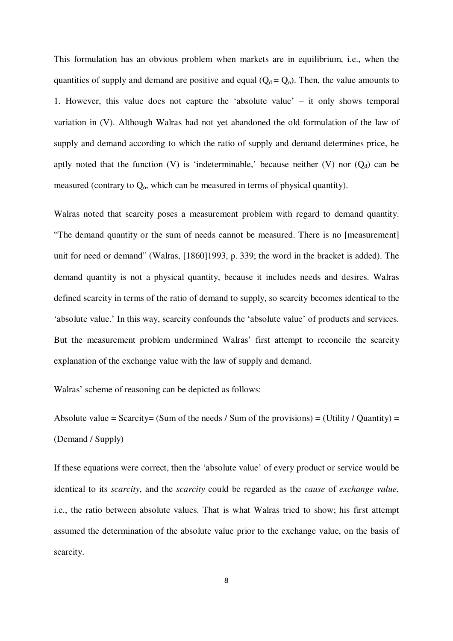This formulation has an obvious problem when markets are in equilibrium, i.e., when the quantities of supply and demand are positive and equal  $(Q_d = Q_o)$ . Then, the value amounts to 1. However, this value does not capture the 'absolute value' – it only shows temporal variation in (V). Although Walras had not yet abandoned the old formulation of the law of supply and demand according to which the ratio of supply and demand determines price, he aptly noted that the function (V) is 'indeterminable,' because neither (V) nor  $(Q_d)$  can be measured (contrary to  $Q_0$ , which can be measured in terms of physical quantity).

Walras noted that scarcity poses a measurement problem with regard to demand quantity. "The demand quantity or the sum of needs cannot be measured. There is no [measurement] unit for need or demand" (Walras, [1860]1993, p. 339; the word in the bracket is added). The demand quantity is not a physical quantity, because it includes needs and desires. Walras defined scarcity in terms of the ratio of demand to supply, so scarcity becomes identical to the 'absolute value.' In this way, scarcity confounds the 'absolute value' of products and services. But the measurement problem undermined Walras' first attempt to reconcile the scarcity explanation of the exchange value with the law of supply and demand.

Walras' scheme of reasoning can be depicted as follows:

Absolute value = Scarcity= (Sum of the needs / Sum of the provisions) = (Utility / Quantity) = (Demand / Supply)

If these equations were correct, then the 'absolute value' of every product or service would be identical to its *scarcity*, and the *scarcity* could be regarded as the *cause* of *exchange value*, i.e., the ratio between absolute values. That is what Walras tried to show; his first attempt assumed the determination of the absolute value prior to the exchange value, on the basis of scarcity.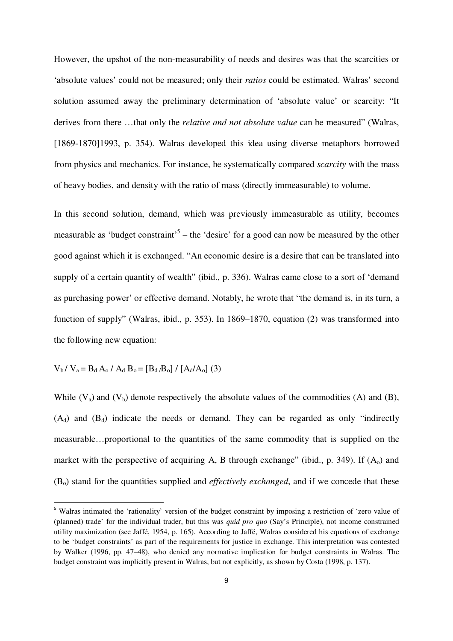However, the upshot of the non-measurability of needs and desires was that the scarcities or 'absolute values' could not be measured; only their *ratios* could be estimated. Walras' second solution assumed away the preliminary determination of 'absolute value' or scarcity: "It derives from there …that only the *relative and not absolute value* can be measured" (Walras, [1869-1870]1993, p. 354). Walras developed this idea using diverse metaphors borrowed from physics and mechanics. For instance, he systematically compared *scarcity* with the mass of heavy bodies, and density with the ratio of mass (directly immeasurable) to volume.

In this second solution, demand, which was previously immeasurable as utility, becomes measurable as 'budget constraint'<sup>5</sup> – the 'desire' for a good can now be measured by the other good against which it is exchanged. "An economic desire is a desire that can be translated into supply of a certain quantity of wealth" (ibid., p. 336). Walras came close to a sort of 'demand as purchasing power' or effective demand. Notably, he wrote that "the demand is, in its turn, a function of supply" (Walras, ibid., p. 353). In 1869–1870, equation (2) was transformed into the following new equation:

$$
V_b / V_a = B_d A_o / A_d B_o = [B_d / B_o] / [A_d / A_o]
$$
 (3)

1

While  $(V_a)$  and  $(V_b)$  denote respectively the absolute values of the commodities (A) and (B),  $(A_d)$  and  $(B_d)$  indicate the needs or demand. They can be regarded as only "indirectly measurable…proportional to the quantities of the same commodity that is supplied on the market with the perspective of acquiring A, B through exchange" (ibid., p. 349). If  $(A_0)$  and (Bo) stand for the quantities supplied and *effectively exchanged*, and if we concede that these

<sup>5</sup> Walras intimated the 'rationality' version of the budget constraint by imposing a restriction of 'zero value of (planned) trade' for the individual trader, but this was *quid pro quo* (Say's Principle), not income constrained utility maximization (see Jaffé, 1954, p. 165). According to Jaffé, Walras considered his equations of exchange to be 'budget constraints' as part of the requirements for justice in exchange. This interpretation was contested by Walker (1996, pp. 47–48), who denied any normative implication for budget constraints in Walras. The budget constraint was implicitly present in Walras, but not explicitly, as shown by Costa (1998, p. 137).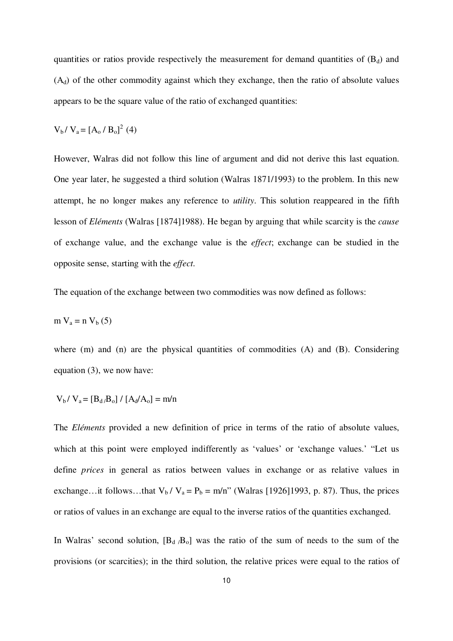quantities or ratios provide respectively the measurement for demand quantities of  $(B_d)$  and  $(A_d)$  of the other commodity against which they exchange, then the ratio of absolute values appears to be the square value of the ratio of exchanged quantities:

$$
V_b / V_a = [A_o / B_o]^2
$$
 (4)

However, Walras did not follow this line of argument and did not derive this last equation. One year later, he suggested a third solution (Walras 1871/1993) to the problem. In this new attempt, he no longer makes any reference to *utility*. This solution reappeared in the fifth lesson of *Eléments* (Walras [1874]1988). He began by arguing that while scarcity is the *cause* of exchange value, and the exchange value is the *effect*; exchange can be studied in the opposite sense, starting with the *effect*.

The equation of the exchange between two commodities was now defined as follows:

$$
m V_a = n V_b (5)
$$

where (m) and (n) are the physical quantities of commodities (A) and (B). Considering equation (3), we now have:

$$
V_b / V_a = [B_d / B_o] / [A_d / A_o] = m/n
$$

The *Eléments* provided a new definition of price in terms of the ratio of absolute values, which at this point were employed indifferently as 'values' or 'exchange values.' "Let us define *prices* in general as ratios between values in exchange or as relative values in exchange…it follows…that  $V_b / V_a = P_b = m/n$ " (Walras [1926]1993, p. 87). Thus, the prices or ratios of values in an exchange are equal to the inverse ratios of the quantities exchanged.

In Walras' second solution,  $[B_d, B_o]$  was the ratio of the sum of needs to the sum of the provisions (or scarcities); in the third solution, the relative prices were equal to the ratios of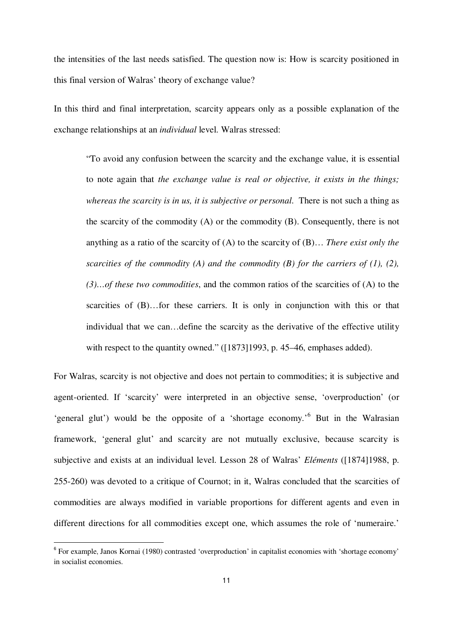the intensities of the last needs satisfied. The question now is: How is scarcity positioned in this final version of Walras' theory of exchange value?

In this third and final interpretation, scarcity appears only as a possible explanation of the exchange relationships at an *individual* level. Walras stressed:

"To avoid any confusion between the scarcity and the exchange value, it is essential to note again that *the exchange value is real or objective, it exists in the things; whereas the scarcity is in us, it is subjective or personal*. There is not such a thing as the scarcity of the commodity (A) or the commodity (B). Consequently, there is not anything as a ratio of the scarcity of (A) to the scarcity of (B)… *There exist only the scarcities of the commodity (A) and the commodity (B) for the carriers of (1), (2), (3)…of these two commodities*, and the common ratios of the scarcities of (A) to the scarcities of (B)...for these carriers. It is only in conjunction with this or that individual that we can…define the scarcity as the derivative of the effective utility with respect to the quantity owned." ([1873]1993, p. 45–46, emphases added).

For Walras, scarcity is not objective and does not pertain to commodities; it is subjective and agent-oriented. If 'scarcity' were interpreted in an objective sense, 'overproduction' (or 'general glut') would be the opposite of a 'shortage economy.<sup>'6</sup> But in the Walrasian framework, 'general glut' and scarcity are not mutually exclusive, because scarcity is subjective and exists at an individual level. Lesson 28 of Walras' *Eléments* ([1874]1988, p. 255-260) was devoted to a critique of Cournot; in it, Walras concluded that the scarcities of commodities are always modified in variable proportions for different agents and even in different directions for all commodities except one, which assumes the role of 'numeraire.'

l

<sup>&</sup>lt;sup>6</sup> For example, Janos Kornai (1980) contrasted 'overproduction' in capitalist economies with 'shortage economy' in socialist economies.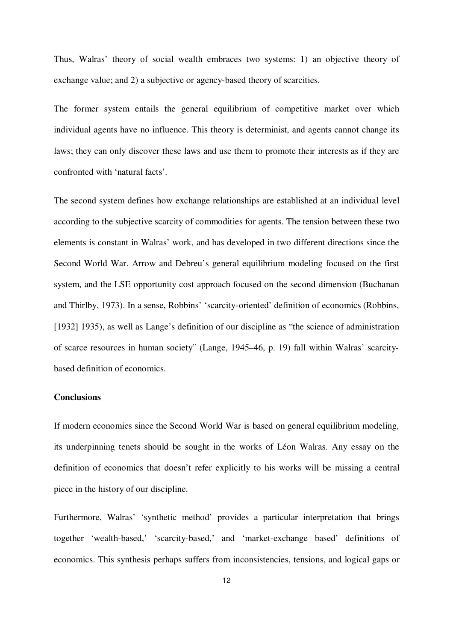Thus, Walras' theory of social wealth embraces two systems: 1) an objective theory of exchange value; and 2) a subjective or agency-based theory of scarcities.

The former system entails the general equilibrium of competitive market over which individual agents have no influence. This theory is determinist, and agents cannot change its laws; they can only discover these laws and use them to promote their interests as if they are confronted with 'natural facts'.

The second system defines how exchange relationships are established at an individual level according to the subjective scarcity of commodities for agents. The tension between these two elements is constant in Walras' work, and has developed in two different directions since the Second World War. Arrow and Debreu's general equilibrium modeling focused on the first system, and the LSE opportunity cost approach focused on the second dimension (Buchanan and Thirlby, 1973). In a sense, Robbins' 'scarcity-oriented' definition of economics (Robbins, [1932] 1935), as well as Lange's definition of our discipline as "the science of administration" of scarce resources in human society" (Lange, 1945–46, p. 19) fall within Walras' scarcitybased definition of economics.

## **Conclusions**

If modern economics since the Second World War is based on general equilibrium modeling, its underpinning tenets should be sought in the works of Léon Walras. Any essay on the definition of economics that doesn't refer explicitly to his works will be missing a central piece in the history of our discipline.

Furthermore, Walras' 'synthetic method' provides a particular interpretation that brings together 'wealth-based,' 'scarcity-based,' and 'market-exchange based' definitions of economics. This synthesis perhaps suffers from inconsistencies, tensions, and logical gaps or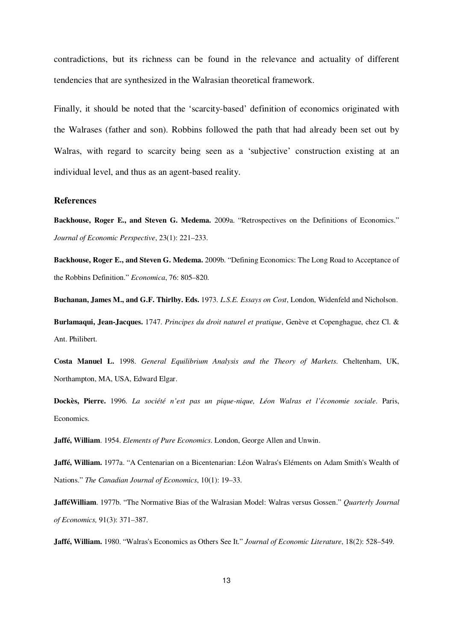contradictions, but its richness can be found in the relevance and actuality of different tendencies that are synthesized in the Walrasian theoretical framework.

Finally, it should be noted that the 'scarcity-based' definition of economics originated with the Walrases (father and son). Robbins followed the path that had already been set out by Walras, with regard to scarcity being seen as a 'subjective' construction existing at an individual level, and thus as an agent-based reality.

#### **References**

**Backhouse, Roger E., and Steven G. Medema.** 2009a. "Retrospectives on the Definitions of Economics." *Journal of Economic Perspective*, 23(1): 221–233.

**Backhouse, Roger E., and Steven G. Medema.** 2009b. "Defining Economics: The Long Road to Acceptance of the Robbins Definition." *Economica*, 76: 805–820.

**Buchanan, James M., and G.F. Thirlby. Eds.** 1973. *L.S.E. Essays on Cost*, London, Widenfeld and Nicholson.

**Burlamaqui, Jean-Jacques.** 1747. *Principes du droit naturel et pratique*, Genève et Copenghague, chez Cl. & Ant. Philibert.

**Costa Manuel L.** 1998. *General Equilibrium Analysis and the Theory of Markets*. Cheltenham, UK, Northampton, MA, USA, Edward Elgar.

**Dockès, Pierre.** 1996. *La société n'est pas un pique-nique, Léon Walras et l'économie sociale*. Paris, Economics.

**Jaffé, William**. 1954. *Elements of Pure Economics*. London, George Allen and Unwin.

**Jaffé, William.** 1977a. "A Centenarian on a Bicentenarian: Léon Walras's Eléments on Adam Smith's Wealth of Nations." *The Canadian Journal of Economics*, 10(1): 19–33.

**JafféWilliam**. 1977b. "The Normative Bias of the Walrasian Model: Walras versus Gossen." *Quarterly Journal of Economics,* 91(3): 371–387.

**Jaffé, William.** 1980. "Walras's Economics as Others See It." *Journal of Economic Literature*, 18(2): 528–549.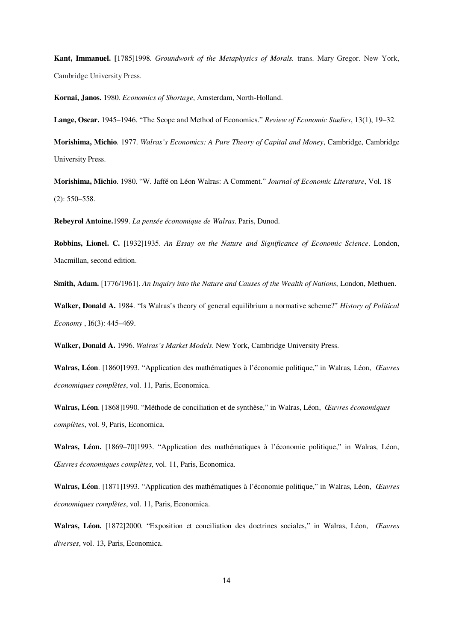**Kant, Immanuel. [**1785]1998. *Groundwork of the Metaphysics of Morals.* trans. Mary Gregor. New York, Cambridge University Press.

**Kornai, Janos.** 1980. *Economics of Shortage*, Amsterdam, North-Holland.

**Lange, Oscar.** 1945–1946. "The Scope and Method of Economics." *Review of Economic Studies*, 13(1), 19–32.

**Morishima, Michio**. 1977. *Walras's Economics: A Pure Theory of Capital and Money*, Cambridge, Cambridge University Press.

**Morishima, Michio**. 1980. "W. Jaffé on Léon Walras: A Comment." *Journal of Economic Literature*, Vol. 18 (2): 550–558.

**Rebeyrol Antoine.**1999. *La pensée économique de Walras*. Paris, Dunod.

**Robbins, Lionel. C.** [1932]1935. *An Essay on the Nature and Significance of Economic Science*. London, Macmillan, second edition.

**Smith, Adam.** 1776/1961]. *An Inquiry into the Nature and Causes of the Wealth of Nations*, London, Methuen.

**Walker, Donald A.** 1984. "Is Walras's theory of general equilibrium a normative scheme?" *History of Political Economy* , I6(3): 445–469.

**Walker, Donald A.** 1996. *Walras's Market Models*. New York, Cambridge University Press.

**Walras, Léon**. [1860]1993. "Application des mathématiques à l'économie politique," in Walras, Léon, *Œuvres économiques complètes*, vol. 11, Paris, Economica.

**Walras, Léon**. [1868]1990. "Méthode de conciliation et de synthèse," in Walras, Léon, *Œuvres économiques complètes*, vol. 9, Paris, Economica.

**Walras, Léon.** [1869–70]1993. "Application des mathématiques à l'économie politique," in Walras, Léon, *Œuvres économiques complètes*, vol. 11, Paris, Economica.

**Walras, Léon**. [1871]1993. "Application des mathématiques à l'économie politique," in Walras, Léon, *Œuvres économiques complètes*, vol. 11, Paris, Economica.

**Walras, Léon.** [1872]2000. "Exposition et conciliation des doctrines sociales," in Walras, Léon, *Œuvres diverses*, vol. 13, Paris, Economica.